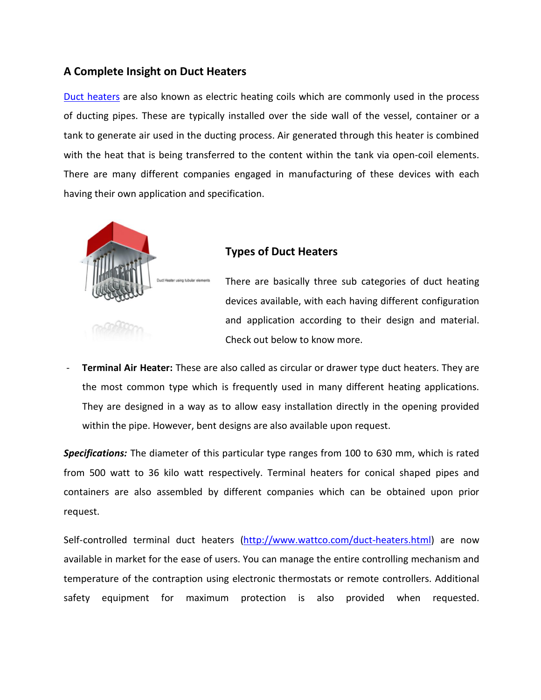### **A Complete Insight on Duct Heaters**

Duct [heaters](http://www.wattco.com/duct-heaters.html) are also known as electric heating coils which are commonly used in the process of ducting pipes. These are typically installed over the side wall of the vessel, container or a tank to generate air used in the ducting process. Air generated through this heater is combined with the heat that is being transferred to the content within the tank via open-coil elements. There are many different companies engaged in manufacturing of these devices with each having their own application and specification.



### **Types of Duct Heaters**

There are basically three sub categories of duct heating devices available, with each having different configuration and application according to their design and material. Check out below to know more.

- **Terminal Air Heater:** These are also called as circular or drawer type duct heaters. They are the most common type which is frequently used in many different heating applications. They are designed in a way as to allow easy installation directly in the opening provided within the pipe. However, bent designs are also available upon request.

*Specifications:* The diameter of this particular type ranges from 100 to 630 mm, which is rated from 500 watt to 36 kilo watt respectively. Terminal heaters for conical shaped pipes and containers are also assembled by different companies which can be obtained upon prior request.

Self-controlled terminal duct heaters [\(http://www.wattco.com/duct-heaters.html\)](http://www.wattco.com/duct-heaters.html) are now available in market for the ease of users. You can manage the entire controlling mechanism and temperature of the contraption using electronic thermostats or remote controllers. Additional safety equipment for maximum protection is also provided when requested.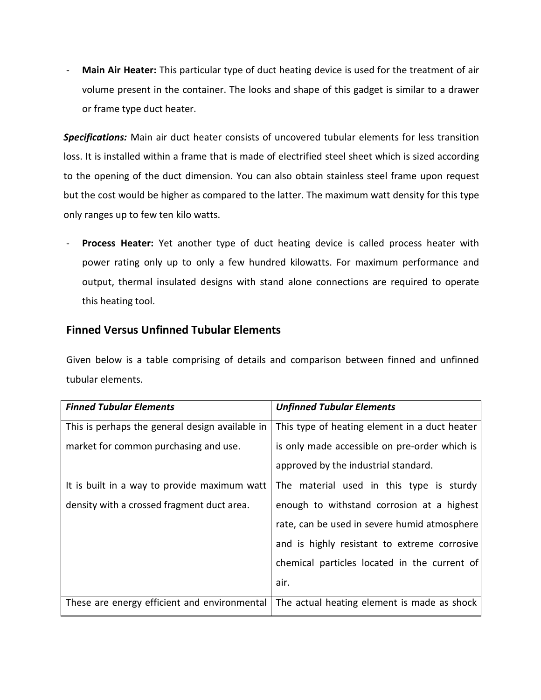- **Main Air Heater:** This particular type of duct heating device is used for the treatment of air volume present in the container. The looks and shape of this gadget is similar to a drawer or frame type duct heater.

*Specifications:* Main air duct heater consists of uncovered tubular elements for less transition loss. It is installed within a frame that is made of electrified steel sheet which is sized according to the opening of the duct dimension. You can also obtain stainless steel frame upon request but the cost would be higher as compared to the latter. The maximum watt density for this type only ranges up to few ten kilo watts.

- **Process Heater:** Yet another type of duct heating device is called process heater with power rating only up to only a few hundred kilowatts. For maximum performance and output, thermal insulated designs with stand alone connections are required to operate this heating tool.

## **Finned Versus Unfinned Tubular Elements**

Given below is a table comprising of details and comparison between finned and unfinned tubular elements.

| <b>Finned Tubular Elements</b>                  | <b>Unfinned Tubular Elements</b>              |
|-------------------------------------------------|-----------------------------------------------|
|                                                 |                                               |
| This is perhaps the general design available in | This type of heating element in a duct heater |
| market for common purchasing and use.           | is only made accessible on pre-order which is |
|                                                 | approved by the industrial standard.          |
| It is built in a way to provide maximum watt    | The material used in this type is sturdy      |
| density with a crossed fragment duct area.      | enough to withstand corrosion at a highest    |
|                                                 | rate, can be used in severe humid atmosphere  |
|                                                 | and is highly resistant to extreme corrosive  |
|                                                 | chemical particles located in the current of  |
|                                                 | air.                                          |
| These are energy efficient and environmental    | The actual heating element is made as shock   |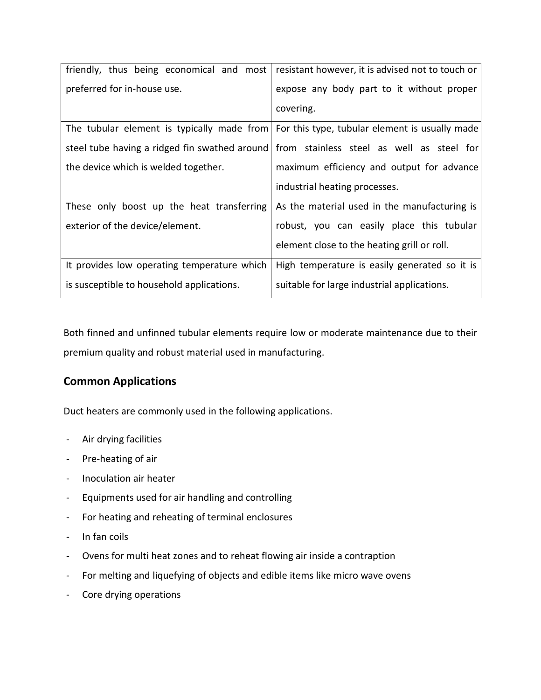| friendly, thus being economical and most    | resistant however, it is advised not to touch or                                          |
|---------------------------------------------|-------------------------------------------------------------------------------------------|
| preferred for in-house use.                 | expose any body part to it without proper                                                 |
|                                             | covering.                                                                                 |
|                                             | The tubular element is typically made from For this type, tubular element is usually made |
|                                             | steel tube having a ridged fin swathed around   from stainless steel as well as steel for |
| the device which is welded together.        | maximum efficiency and output for advance                                                 |
|                                             |                                                                                           |
|                                             | industrial heating processes.                                                             |
| These only boost up the heat transferring   | As the material used in the manufacturing is                                              |
| exterior of the device/element.             | robust, you can easily place this tubular                                                 |
|                                             | element close to the heating grill or roll.                                               |
| It provides low operating temperature which | High temperature is easily generated so it is                                             |

Both finned and unfinned tubular elements require low or moderate maintenance due to their premium quality and robust material used in manufacturing.

# **Common Applications**

Duct heaters are commonly used in the following applications.

- Air drying facilities
- Pre-heating of air
- Inoculation air heater
- Equipments used for air handling and controlling
- For heating and reheating of terminal enclosures
- In fan coils
- Ovens for multi heat zones and to reheat flowing air inside a contraption
- For melting and liquefying of objects and edible items like micro wave ovens
- Core drying operations